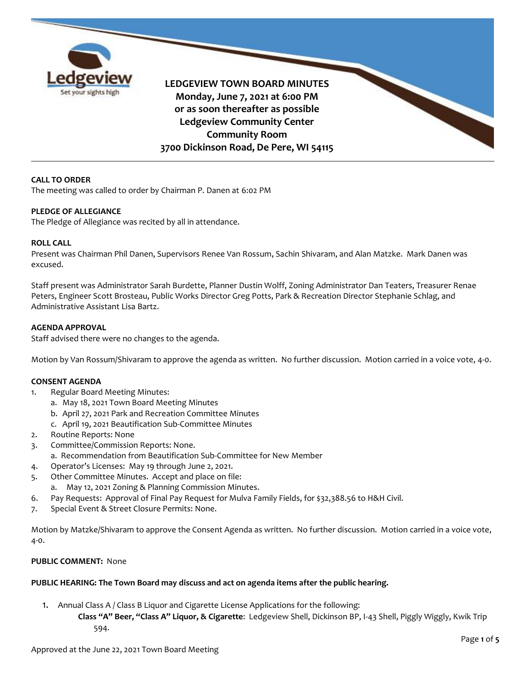

**LEDGEVIEW TOWN BOARD MINUTES Monday, June 7, 2021 at 6:00 PM or as soon thereafter as possible Ledgeview Community Center Community Room 3700 Dickinson Road, De Pere, WI 54115**

### **CALL TO ORDER**

The meeting was called to order by Chairman P. Danen at 6:02 PM

### **PLEDGE OF ALLEGIANCE**

The Pledge of Allegiance was recited by all in attendance.

#### **ROLL CALL**

Present was Chairman Phil Danen, Supervisors Renee Van Rossum, Sachin Shivaram, and Alan Matzke. Mark Danen was excused.

Staff present was Administrator Sarah Burdette, Planner Dustin Wolff, Zoning Administrator Dan Teaters, Treasurer Renae Peters, Engineer Scott Brosteau, Public Works Director Greg Potts, Park & Recreation Director Stephanie Schlag, and Administrative Assistant Lisa Bartz.

#### **AGENDA APPROVAL**

Staff advised there were no changes to the agenda.

Motion by Van Rossum/Shivaram to approve the agenda as written. No further discussion. Motion carried in a voice vote, 4-0.

#### **CONSENT AGENDA**

- 1. Regular Board Meeting Minutes:
	- a. May 18, 2021 Town Board Meeting Minutes
	- b. April 27, 2021 Park and Recreation Committee Minutes
	- c. April 19, 2021 Beautification Sub-Committee Minutes
- 2. Routine Reports: None
- 3. Committee/Commission Reports: None.
- a. Recommendation from Beautification Sub-Committee for New Member
- 4. Operator's Licenses: May 19 through June 2, 2021.
- 5. Other Committee Minutes. Accept and place on file:
	- a. May 12, 2021 Zoning & Planning Commission Minutes.
- 6. Pay Requests: Approval of Final Pay Request for Mulva Family Fields, for \$32,388.56 to H&H Civil.
- 7. Special Event & Street Closure Permits: None.

Motion by Matzke/Shivaram to approve the Consent Agenda as written. No further discussion. Motion carried in a voice vote, 4-0.

### **PUBLIC COMMENT:** None

### **PUBLIC HEARING: The Town Board may discuss and act on agenda items after the public hearing.**

1. Annual Class A / Class B Liquor and Cigarette License Applications for the following:

**Class "A" Beer, "Class A" Liquor, & Cigarette**: Ledgeview Shell, Dickinson BP, I-43 Shell, Piggly Wiggly, Kwik Trip 594.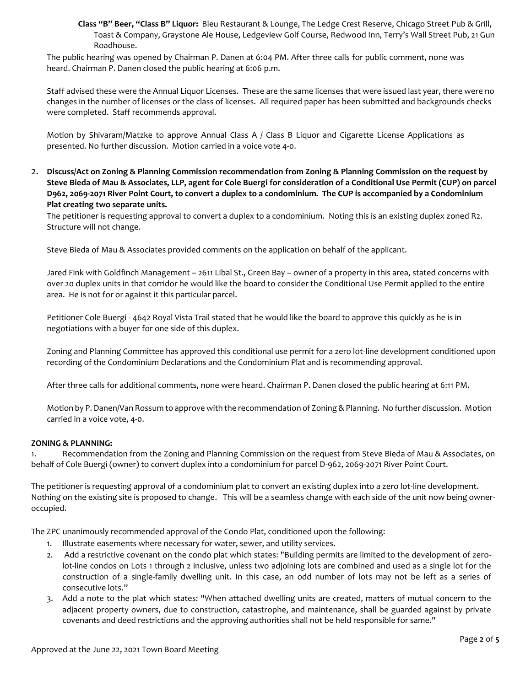**Class "B" Beer, "Class B" Liquor:** Bleu Restaurant & Lounge, The Ledge Crest Reserve, Chicago Street Pub & Grill, Toast & Company, Graystone Ale House, Ledgeview Golf Course, Redwood Inn, Terry's Wall Street Pub, 21 Gun Roadhouse.

The public hearing was opened by Chairman P. Danen at 6:04 PM. After three calls for public comment, none was heard. Chairman P. Danen closed the public hearing at 6:06 p.m.

Staff advised these were the Annual Liquor Licenses. These are the same licenses that were issued last year, there were no changes in the number of licenses or the class of licenses. All required paper has been submitted and backgrounds checks were completed. Staff recommends approval.

Motion by Shivaram/Matzke to approve Annual Class A / Class B Liquor and Cigarette License Applications as presented. No further discussion. Motion carried in a voice vote 4-0.

2. **Discuss/Act on Zoning & Planning Commission recommendation from Zoning & Planning Commission on the request by Steve Bieda of Mau & Associates, LLP, agent for Cole Buergi for consideration of a Conditional Use Permit (CUP) on parcel D962, 2069-2071 River Point Court, to convert a duplex to a condominium. The CUP is accompanied by a Condominium Plat creating two separate units.** 

The petitioner is requesting approval to convert a duplex to a condominium. Noting this is an existing duplex zoned R2. Structure will not change.

Steve Bieda of Mau & Associates provided comments on the application on behalf of the applicant.

Jared Fink with Goldfinch Management – 2611 Libal St., Green Bay – owner of a property in this area, stated concerns with over 20 duplex units in that corridor he would like the board to consider the Conditional Use Permit applied to the entire area. He is not for or against it this particular parcel.

Petitioner Cole Buergi - 4642 Royal Vista Trail stated that he would like the board to approve this quickly as he is in negotiations with a buyer for one side of this duplex.

Zoning and Planning Committee has approved this conditional use permit for a zero lot-line development conditioned upon recording of the Condominium Declarations and the Condominium Plat and is recommending approval.

After three calls for additional comments, none were heard. Chairman P. Danen closed the public hearing at 6:11 PM.

Motion by P. Danen/Van Rossum to approve with the recommendation of Zoning & Planning. No further discussion. Motion carried in a voice vote, 4-0.

### **ZONING & PLANNING:**

1. Recommendation from the Zoning and Planning Commission on the request from Steve Bieda of Mau & Associates, on behalf of Cole Buergi (owner) to convert duplex into a condominium for parcel D-962, 2069-2071 River Point Court.

The petitioner is requesting approval of a condominium plat to convert an existing duplex into a zero lot-line development. Nothing on the existing site is proposed to change. This will be a seamless change with each side of the unit now being owneroccupied.

The ZPC unanimously recommended approval of the Condo Plat, conditioned upon the following:

- 1. Illustrate easements where necessary for water, sewer, and utility services.
- 2. Add a restrictive covenant on the condo plat which states: "Building permits are limited to the development of zerolot-line condos on Lots 1 through 2 inclusive, unless two adjoining lots are combined and used as a single lot for the construction of a single-family dwelling unit. In this case, an odd number of lots may not be left as a series of consecutive lots."
- 3. Add a note to the plat which states: "When attached dwelling units are created, matters of mutual concern to the adjacent property owners, due to construction, catastrophe, and maintenance, shall be guarded against by private covenants and deed restrictions and the approving authorities shall not be held responsible for same."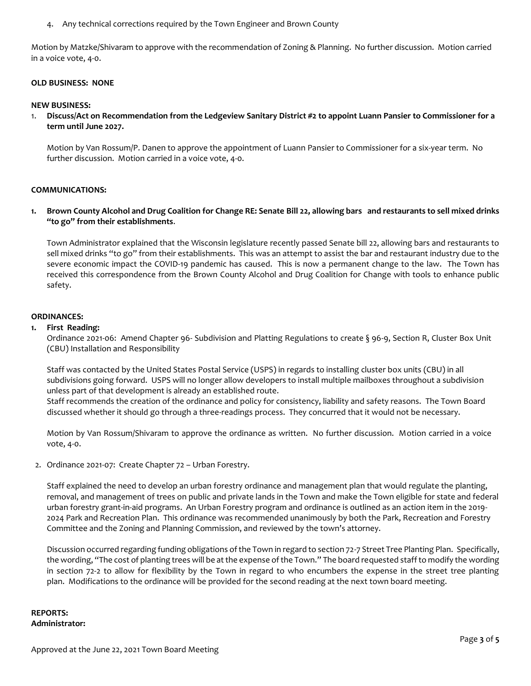4. Any technical corrections required by the Town Engineer and Brown County

Motion by Matzke/Shivaram to approve with the recommendation of Zoning & Planning. No further discussion. Motion carried in a voice vote, 4-0.

### **OLD BUSINESS: NONE**

#### **NEW BUSINESS:**

1. **Discuss/Act on Recommendation from the Ledgeview Sanitary District #2 to appoint Luann Pansier to Commissioner for a term until June 2027.**

Motion by Van Rossum/P. Danen to approve the appointment of Luann Pansier to Commissioner for a six-year term. No further discussion. Motion carried in a voice vote, 4-0.

#### **COMMUNICATIONS:**

**1. Brown County Alcohol and Drug Coalition for Change RE: Senate Bill 22, allowing bars and restaurants to sell mixed drinks "to go" from their establishments**.

Town Administrator explained that the Wisconsin legislature recently passed Senate bill 22, allowing bars and restaurants to sell mixed drinks "to go" from their establishments. This was an attempt to assist the bar and restaurant industry due to the severe economic impact the COVID-19 pandemic has caused. This is now a permanent change to the law. The Town has received this correspondence from the Brown County Alcohol and Drug Coalition for Change with tools to enhance public safety.

### **ORDINANCES:**

#### **1. First Reading:**

Ordinance 2021-06: Amend Chapter 96- Subdivision and Platting Regulations to create § 96-9, Section R, Cluster Box Unit (CBU) Installation and Responsibility

Staff was contacted by the United States Postal Service (USPS) in regards to installing cluster box units (CBU) in all subdivisions going forward. USPS will no longer allow developers to install multiple mailboxes throughout a subdivision unless part of that development is already an established route.

Staff recommends the creation of the ordinance and policy for consistency, liability and safety reasons. The Town Board discussed whether it should go through a three-readings process. They concurred that it would not be necessary.

Motion by Van Rossum/Shivaram to approve the ordinance as written. No further discussion. Motion carried in a voice vote, 4-0.

2. Ordinance 2021-07: Create Chapter 72 – Urban Forestry.

Staff explained the need to develop an urban forestry ordinance and management plan that would regulate the planting, removal, and management of trees on public and private lands in the Town and make the Town eligible for state and federal urban forestry grant-in-aid programs. An Urban Forestry program and ordinance is outlined as an action item in the 2019- 2024 Park and Recreation Plan. This ordinance was recommended unanimously by both the Park, Recreation and Forestry Committee and the Zoning and Planning Commission, and reviewed by the town's attorney.

Discussion occurred regarding funding obligations of the Town in regard to section 72-7 Street Tree Planting Plan. Specifically, the wording, "The cost of planting trees will be at the expense of the Town." The board requested staff to modify the wording in section 72-2 to allow for flexibility by the Town in regard to who encumbers the expense in the street tree planting plan. Modifications to the ordinance will be provided for the second reading at the next town board meeting.

**REPORTS: Administrator:**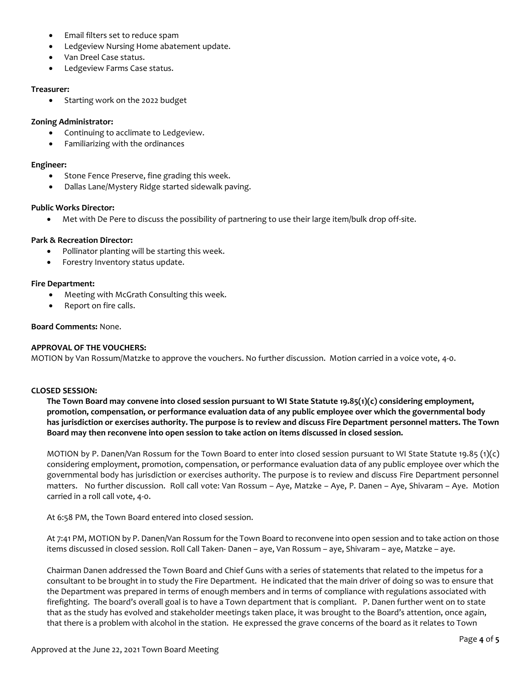- Email filters set to reduce spam
- Ledgeview Nursing Home abatement update.
- Van Dreel Case status.
- Ledgeview Farms Case status.

## **Treasurer:**

• Starting work on the 2022 budget

## **Zoning Administrator:**

- Continuing to acclimate to Ledgeview.
- Familiarizing with the ordinances

## **Engineer:**

- Stone Fence Preserve, fine grading this week.
- Dallas Lane/Mystery Ridge started sidewalk paving.

## **Public Works Director:**

Met with De Pere to discuss the possibility of partnering to use their large item/bulk drop off-site.

## **Park & Recreation Director:**

- Pollinator planting will be starting this week.
- Forestry Inventory status update.

## **Fire Department:**

- Meeting with McGrath Consulting this week.
- Report on fire calls.

## **Board Comments:** None.

# **APPROVAL OF THE VOUCHERS:**

MOTION by Van Rossum/Matzke to approve the vouchers. No further discussion. Motion carried in a voice vote, 4-0.

# **CLOSED SESSION:**

**The Town Board may convene into closed session pursuant to WI State Statute 19.85(1)(c) considering employment, promotion, compensation, or performance evaluation data of any public employee over which the governmental body has jurisdiction or exercises authority. The purpose is to review and discuss Fire Department personnel matters. The Town Board may then reconvene into open session to take action on items discussed in closed session.**

MOTION by P. Danen/Van Rossum for the Town Board to enter into closed session pursuant to WI State Statute 19.85 (1)(c) considering employment, promotion, compensation, or performance evaluation data of any public employee over which the governmental body has jurisdiction or exercises authority. The purpose is to review and discuss Fire Department personnel matters. No further discussion. Roll call vote: Van Rossum – Aye, Matzke – Aye, P. Danen – Aye, Shivaram – Aye. Motion carried in a roll call vote, 4-0.

At 6:58 PM, the Town Board entered into closed session.

At 7:41 PM, MOTION by P. Danen/Van Rossum for the Town Board to reconvene into open session and to take action on those items discussed in closed session. Roll Call Taken- Danen – aye, Van Rossum – aye, Shivaram – aye, Matzke – aye.

Chairman Danen addressed the Town Board and Chief Guns with a series of statements that related to the impetus for a consultant to be brought in to study the Fire Department. He indicated that the main driver of doing so was to ensure that the Department was prepared in terms of enough members and in terms of compliance with regulations associated with firefighting. The board's overall goal is to have a Town department that is compliant. P. Danen further went on to state that as the study has evolved and stakeholder meetings taken place, it was brought to the Board's attention, once again, that there is a problem with alcohol in the station. He expressed the grave concerns of the board as it relates to Town